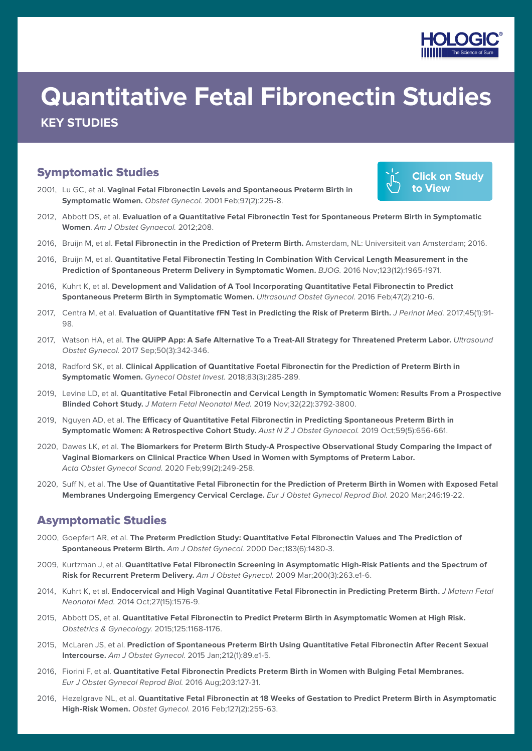

# **Quantitative Fetal Fibronectin Studies KEY STUDIES**

## Symptomatic Studies

[2001,](https://pubmed.ncbi.nlm.nih.gov/11165586/) Lu GC, et al. **[Vaginal Fetal Fibronectin Levels and Spontaneous Preterm Birth in](https://pubmed.ncbi.nlm.nih.gov/11165586/)  Symptomatic Women.** Obstet Gynecol. [2001 Feb;97\(2\):225-8.](https://pubmed.ncbi.nlm.nih.gov/11165586/)



- 2012, Abbott DS, et al. **[Evaluation of a Quantitative Fetal Fibronectin Test for Spontaneous Preterm Birth in Symptomatic](https://pubmed.ncbi.nlm.nih.gov/23164760/)  Women**. [Am J Obstet Gynaecol.](https://pubmed.ncbi.nlm.nih.gov/23164760/) 2012;208.
- 2016, Bruijn M, et al. **[Fetal Fibronectin in the Prediction of Preterm Birth.](https://dare.uva.nl/search?identifier=46eff269-8ddd-43f8-8397-a1d0ad2667cb)** Amsterdam, NL: Universiteit van Amsterdam; 2016.
- 2016, Bruijn M, et al. **[Quantitative Fetal Fibronectin Testing In Combination With Cervical Length Measurement in the](https://pubmed.ncbi.nlm.nih.gov/26667313/)  [Prediction of Spontaneous Preterm Delivery in Symptomatic Women.](https://pubmed.ncbi.nlm.nih.gov/26667313/)** BJOG. 2016 Nov;123(12):1965-1971.
- 2016, Kuhrt K, et al. **[Development and Validation of A Tool Incorporating Quantitative Fetal Fibronectin to Predict](https://pubmed.ncbi.nlm.nih.gov/25964191/)  [Spontaneous Preterm Birth in Symptomatic Women.](https://pubmed.ncbi.nlm.nih.gov/25964191/)** Ultrasound Obstet Gynecol. 2016 Feb;47(2):210-6.
- 2017, Centra M, et al. **[Evaluation of Quantitative fFN Test in Predicting the Risk of Preterm Birth.](https://pubmed.ncbi.nlm.nih.gov/27049613/)** J Perinat Med. 2017;45(1):91- [98.](https://pubmed.ncbi.nlm.nih.gov/27049613/)
- 2017, Watson HA, et al. [The QUiPP App: A Safe Alternative To a Treat-All Strategy for Threatened Preterm Labor.](https://pubmed.ncbi.nlm.nih.gov/28436125/) Ultrasound Obstet Gynecol. [2017 Sep;50\(3\):342-346.](https://pubmed.ncbi.nlm.nih.gov/28436125/)
- 2018, Radford SK, et al. **[Clinical Application of Quantitative Foetal Fibronectin for the Prediction of Preterm Birth in](https://pubmed.ncbi.nlm.nih.gov/29183020/)  Symptomatic Women.** [Gynecol Obstet Invest.](https://pubmed.ncbi.nlm.nih.gov/29183020/) 2018;83(3):285-289.
- 2019, Levine LD, et al. **[Quantitative Fetal Fibronectin and Cervical Length in Symptomatic Women: Results From a Prospective](https://pubmed.ncbi.nlm.nih.gov/29727248/)  Blinded Cohort Study.** [J Matern Fetal Neonatal Med.](https://pubmed.ncbi.nlm.nih.gov/29727248/) 2019 Nov;32(22):3792-3800.
- [2019, N](https://www.ncbi.nlm.nih.gov/pubmed/30724331)guyen AD, et al. **[The Efficacy of Quantitative Fetal Fibronectin in Predicting Spontaneous Preterm Birth in](https://www.ncbi.nlm.nih.gov/pubmed/30724331)  [Symptomatic Women: A Retrospective Cohort Study.](https://www.ncbi.nlm.nih.gov/pubmed/30724331)** Aust N Z J Obstet Gynaecol. 2019 Oct;59(5):656-661.
- [2020,](https://www.ncbi.nlm.nih.gov/pubmed/31519040) Dawes LK, et al. **[The Biomarkers for Preterm Birth Study-A Prospective Observational Study Comparing the Impact of](https://www.ncbi.nlm.nih.gov/pubmed/31519040)  [Vaginal Biomarkers on Clinical Practice When Used in Women with Symptoms of Preterm Labor.](https://www.ncbi.nlm.nih.gov/pubmed/31519040)** [Acta Obstet Gynecol Scand.](https://www.ncbi.nlm.nih.gov/pubmed/31519040) 2020 Feb;99(2):249-258.
- [2020,](https://www.ncbi.nlm.nih.gov/pubmed/31923878) Suff N, et al. **[The Use of Quantitative Fetal Fibronectin for the Prediction of Preterm Birth in Women with Exposed Fetal](https://www.ncbi.nlm.nih.gov/pubmed/31923878)  [Membranes Undergoing Emergency Cervical Cerclage.](https://www.ncbi.nlm.nih.gov/pubmed/31923878)** Eur J Obstet Gynecol Reprod Biol. 2020 Mar;246:19-22.

## Asymptomatic Studies

- [2000,](https://pubmed.ncbi.nlm.nih.gov/11120514/) Goepfert AR, et al. **[The Preterm Prediction Study: Quantitative Fetal Fibronectin Values and The Prediction of](https://pubmed.ncbi.nlm.nih.gov/11120514/)  [Spontaneous Preterm Birth.](https://pubmed.ncbi.nlm.nih.gov/11120514/)** Am J Obstet Gynecol. 2000 Dec;183(6):1480-3.
- 2009, Kurtzman J, et al. **[Quantitative Fetal Fibronectin Screening in Asymptomatic High-Risk Patients and the Spectrum of](https://pubmed.ncbi.nlm.nih.gov/19254585/)  [Risk for Recurrent Preterm Delivery.](https://pubmed.ncbi.nlm.nih.gov/19254585/)** Am J Obstet Gynecol. 2009 Mar;200(3):263.e1-6.
- 2014, Kuhrt K, et al. **[Endocervical and High Vaginal Quantitative Fetal Fibronectin in Predicting Preterm Birth.](https://pubmed.ncbi.nlm.nih.gov/24294948/)** J Matern Fetal Neonatal Med. [2014 Oct;27\(15\):1576-9.](https://pubmed.ncbi.nlm.nih.gov/24294948/)
- 2015, Abbott DS, et al. **[Quantitative Fetal Fibronectin to Predict Preterm Birth in Asymptomatic Women at High Risk.](https://pubmed.ncbi.nlm.nih.gov/25932845/)**  [Obstetrics & Gynecology.](https://pubmed.ncbi.nlm.nih.gov/25932845/) 2015;125:1168-1176.
- 2015, McLaren JS, et al. **[Prediction of Spontaneous Preterm Birth Using Quantitative Fetal Fibronectin After Recent Sexual](https://pubmed.ncbi.nlm.nih.gov/24992691/)  Intercourse.** Am J Obstet Gynecol. [2015 Jan;212\(1\):89.e1-5.](https://pubmed.ncbi.nlm.nih.gov/24992691/)
- [2016,](https://pubmed.ncbi.nlm.nih.gov/27280542/) Fiorini F, et al. **[Quantitative Fetal Fibronectin Predicts Preterm Birth in Women with Bulging Fetal Membranes.](https://pubmed.ncbi.nlm.nih.gov/27280542/)** [Eur J Obstet Gynecol Reprod Biol.](https://pubmed.ncbi.nlm.nih.gov/27280542/) 2016 Aug;203:127-31.
- 2016, Hezelgrave NL, et al. **[Quantitative Fetal Fibronectin at 18 Weeks of Gestation to Predict Preterm Birth in Asymptomatic](https://pubmed.ncbi.nlm.nih.gov/26942351/)  High-Risk Women.** Obstet Gynecol. [2016 Feb;127\(2\):255-63.](https://pubmed.ncbi.nlm.nih.gov/26942351/)